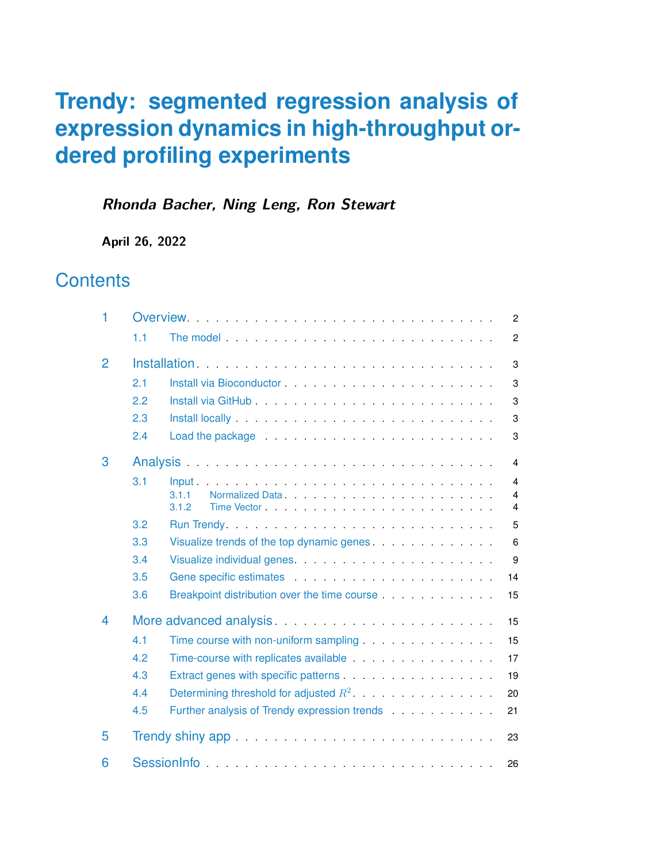### **Rhonda Bacher, Ning Leng, Ron Stewart**

**April 26, 2022**

# **Contents**

<span id="page-0-0"></span>

| 1 | Overview<br>$\overline{2}$    |                                                                                                                                                                                                                                           |  |  |  |  |
|---|-------------------------------|-------------------------------------------------------------------------------------------------------------------------------------------------------------------------------------------------------------------------------------------|--|--|--|--|
|   | 1.1                           | The model and the service of the model of the service of the model of the service of the service of the service of the service of the service of the service of the service of the service of the service of the service of th<br>2       |  |  |  |  |
| 2 | 3                             |                                                                                                                                                                                                                                           |  |  |  |  |
|   | 2.1                           | 3                                                                                                                                                                                                                                         |  |  |  |  |
|   | 2.2                           | 3                                                                                                                                                                                                                                         |  |  |  |  |
|   | 2.3                           | Install locally entertainment and the contract of the state of the state of the state of the state of the state of the state of the state of the state of the state of the state of the state of the state of the state of the<br>3       |  |  |  |  |
|   | 2.4                           | Load the package entitled and the package of the state of the state of the state of the state of the state of the state of the state of the state of the state of the state of the state of the state of the state of the stat<br>3       |  |  |  |  |
| 3 |                               | Analysis <b>Executive Contract Contract Contract Contract Contract Contract Contract Contract Contract Contract Contract Contract Contract Contract Contract Contract Contract Contract Contract Contract Contract Contract Cont</b><br>4 |  |  |  |  |
|   | 3.1                           | 4                                                                                                                                                                                                                                         |  |  |  |  |
|   |                               | 3.1.1<br>4<br>3.1.2<br>4                                                                                                                                                                                                                  |  |  |  |  |
|   | 3.2                           | 5                                                                                                                                                                                                                                         |  |  |  |  |
|   | 3.3                           | Visualize trends of the top dynamic genes.<br>6                                                                                                                                                                                           |  |  |  |  |
|   | 3.4                           | 9                                                                                                                                                                                                                                         |  |  |  |  |
|   | 3.5                           | Gene specific estimates entertainment of the specific estimates<br>14                                                                                                                                                                     |  |  |  |  |
|   | 3.6                           | Breakpoint distribution over the time course <b>Example 20</b> is a set of the state of the state of the state of the state of the state of the state of the state of the state of the state of the state of the state of the state<br>15 |  |  |  |  |
| 4 | More advanced analysis.<br>15 |                                                                                                                                                                                                                                           |  |  |  |  |
|   | 4.1                           | 15                                                                                                                                                                                                                                        |  |  |  |  |
|   | 4.2                           | Time-course with replicates available entitled and a series of the series of the series of the series of the series of the series of the series of the series of the series of the series of the series of the series of the s<br>17      |  |  |  |  |
|   | 4.3                           | 19                                                                                                                                                                                                                                        |  |  |  |  |
|   | 4.4                           | Determining threshold for adjusted $R^2$ . The summary set of the set of the set of the set of the set of the set of the set of the set of the set of the set of the set of the set of the set of the set of the set of the s<br>20       |  |  |  |  |
|   | 4.5                           | Further analysis of Trendy expression trends<br>21                                                                                                                                                                                        |  |  |  |  |
| 5 | 23                            |                                                                                                                                                                                                                                           |  |  |  |  |
| 6 | SessionInfo<br>26             |                                                                                                                                                                                                                                           |  |  |  |  |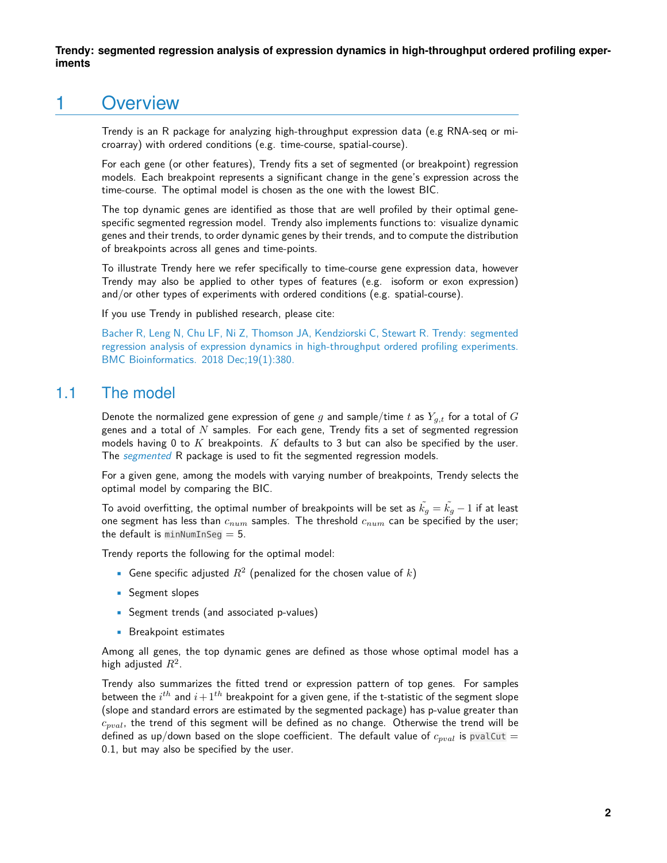### 1 Overview

Trendy is an R package for analyzing high-throughput expression data (e.g RNA-seq or microarray) with ordered conditions (e.g. time-course, spatial-course).

For each gene (or other features), Trendy fits a set of segmented (or breakpoint) regression models. Each breakpoint represents a significant change in the gene's expression across the time-course. The optimal model is chosen as the one with the lowest BIC.

The top dynamic genes are identified as those that are well profiled by their optimal genespecific segmented regression model. Trendy also implements functions to: visualize dynamic genes and their trends, to order dynamic genes by their trends, and to compute the distribution of breakpoints across all genes and time-points.

To illustrate Trendy here we refer specifically to time-course gene expression data, however Trendy may also be applied to other types of features (e.g. isoform or exon expression) and/or other types of experiments with ordered conditions (e.g. spatial-course).

If you use Trendy in published research, please cite:

<span id="page-1-0"></span>[Bacher R, Leng N, Chu LF, Ni Z, Thomson JA, Kendziorski C, Stewart R. Trendy: segmented](https://bmcbioinformatics.biomedcentral.com/articles/10.1186/s12859-018-2405-x) [regression analysis of expression dynamics in high-throughput ordered profiling experiments.](https://bmcbioinformatics.biomedcentral.com/articles/10.1186/s12859-018-2405-x) [BMC Bioinformatics. 2018 Dec;19\(1\):380.](https://bmcbioinformatics.biomedcentral.com/articles/10.1186/s12859-018-2405-x)

#### 1.1 The model

Denote the normalized gene expression of gene g and sample/time t as  $Y_{q,t}$  for a total of G genes and a total of  $N$  samples. For each gene, Trendy fits a set of segmented regression models having 0 to  $K$  breakpoints.  $K$  defaults to 3 but can also be specified by the user. The [segmented](https://CRAN.R-project.org/package=segmented) R package is used to fit the segmented regression models.

For a given gene, among the models with varying number of breakpoints, Trendy selects the optimal model by comparing the BIC.

To avoid overfitting, the optimal number of breakpoints will be set as  $k_q = k_q - 1$  if at least one segment has less than  $c_{num}$  samples. The threshold  $c_{num}$  can be specified by the user; the default is  $minNumInSeq = 5$ .

Trendy reports the following for the optimal model:

- Gene specific adjusted  $R^2$  (penalized for the chosen value of k)
- **•** Segment slopes
- Segment trends (and associated p-values)
- **•** Breakpoint estimates

Among all genes, the top dynamic genes are defined as those whose optimal model has a high adjusted  $R^2$ .

Trendy also summarizes the fitted trend or expression pattern of top genes. For samples between the  $i^{th}$  and  $i\!+\!1^{th}$  breakpoint for a given gene, if the t-statistic of the segment slope (slope and standard errors are estimated by the segmented package) has p-value greater than  $c_{pval}$ , the trend of this segment will be defined as no change. Otherwise the trend will be defined as up/down based on the slope coefficient. The default value of  $c_{pval}$  is pvalCut = 0.1, but may also be specified by the user.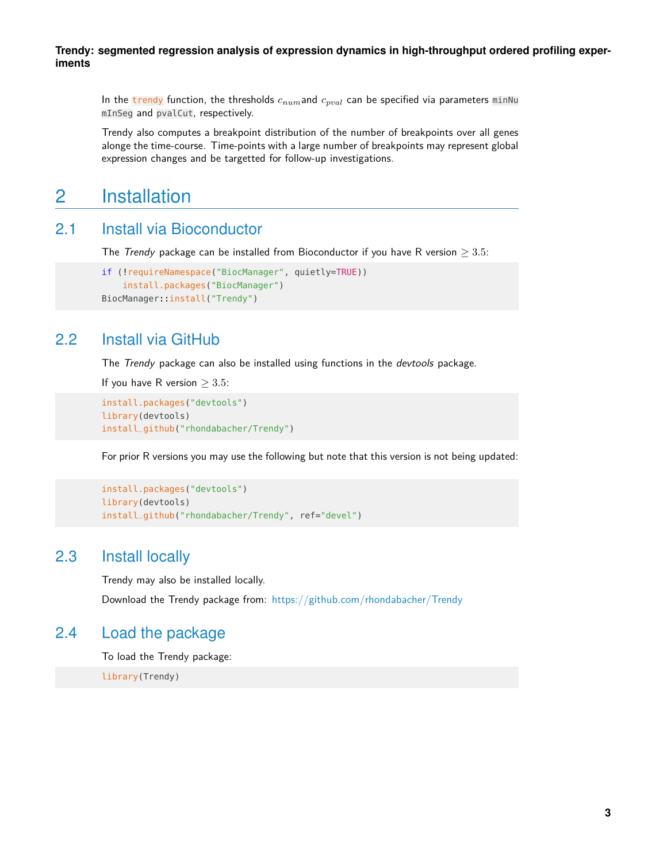In the trendy function, the thresholds  $c_{num}$  and  $c_{pval}$  can be specified via parameters minNu mInSeg and pvalCut, respectively.

<span id="page-2-0"></span>Trendy also computes a breakpoint distribution of the number of breakpoints over all genes alonge the time-course. Time-points with a large number of breakpoints may represent global expression changes and be targetted for follow-up investigations.

### 2 Installation

#### 2.1 Install via Bioconductor

<span id="page-2-1"></span>The Trendy package can be installed from Bioconductor if you have R version  $\geq 3.5$ :

```
if (!requireNamespace("BiocManager", quietly=TRUE))
   install.packages("BiocManager")
BiocManager::install("Trendy")
```
#### 2.2 Install via GitHub

The Trendy package can also be installed using functions in the devtools package.

If you have R version  $\geq 3.5$ :

```
install.packages("devtools")
library(devtools)
install_github("rhondabacher/Trendy")
```
For prior R versions you may use the following but note that this version is not being updated:

```
install.packages("devtools")
library(devtools)
install_github("rhondabacher/Trendy", ref="devel")
```
#### 2.3 Install locally

Trendy may also be installed locally.

<span id="page-2-4"></span>Download the Trendy package from: <https://github.com/rhondabacher/Trendy>

#### 2.4 Load the package

To load the Trendy package:

<span id="page-2-5"></span>library(Trendy)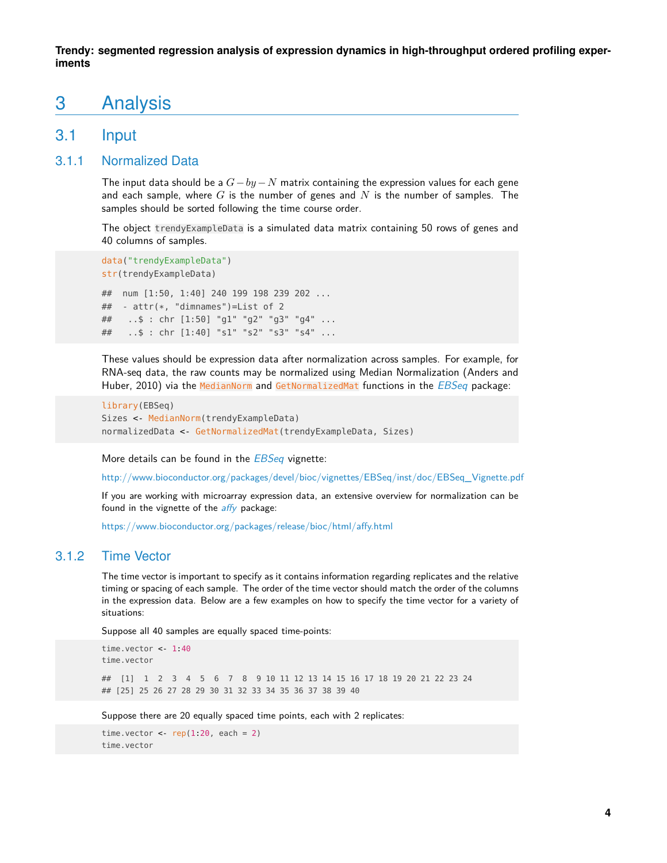### 3 Analysis

#### <span id="page-3-0"></span>3.1 Input

#### 3.1.1 Normalized Data

<span id="page-3-1"></span>The input data should be a  $G - by - N$  matrix containing the expression values for each gene and each sample, where G is the number of genes and N is the number of samples. The samples should be sorted following the time course order.

The object trendyExampleData is a simulated data matrix containing 50 rows of genes and 40 columns of samples.

```
data("trendyExampleData")
str(trendyExampleData)
## num [1:50, 1:40] 240 199 198 239 202 ...
## - attr(*, "dimnames")=List of 2
## ..$ : chr [1:50] "g1" "g2" "g3" "g4" ...
## ..$ : chr [1:40] "s1" "s2" "s3" "s4" ...
```
These values should be expression data after normalization across samples. For example, for RNA-seq data, the raw counts may be normalized using Median Normalization (Anders and Huber, 2010) via the MedianNorm and GetNormalizedMat functions in the *[EBSeq](http://bioconductor.org/packages/EBSeq)* package:

```
library(EBSeq)
Sizes <- MedianNorm(trendyExampleData)
normalizedData <- GetNormalizedMat(trendyExampleData, Sizes)
```
More details can be found in the **[EBSeq](http://bioconductor.org/packages/EBSeq)** vignette:

[http://www.bioconductor.org/packages/devel/bioc/vignettes/EBSeq/inst/doc/EBSeq\\_Vignette.pdf](http://www.bioconductor.org/packages/devel/bioc/vignettes/EBSeq/inst/doc/EBSeq_Vignette.pdf)

If you are working with microarray expression data, an extensive overview for normalization can be found in the vignette of the *[affy](http://bioconductor.org/packages/affy)* package:

<span id="page-3-2"></span><https://www.bioconductor.org/packages/release/bioc/html/affy.html>

#### 3.1.2 Time Vector

The time vector is important to specify as it contains information regarding replicates and the relative timing or spacing of each sample. The order of the time vector should match the order of the columns in the expression data. Below are a few examples on how to specify the time vector for a variety of situations:

Suppose all 40 samples are equally spaced time-points:

```
time.vector <- 1:40
time.vector
## [1] 1 2 3 4 5 6 7 8 9 10 11 12 13 14 15 16 17 18 19 20 21 22 23 24
## [25] 25 26 27 28 29 30 31 32 33 34 35 36 37 38 39 40
```
Suppose there are 20 equally spaced time points, each with 2 replicates:

time.vector <  $rep(1.20, each = 2)$ time.vector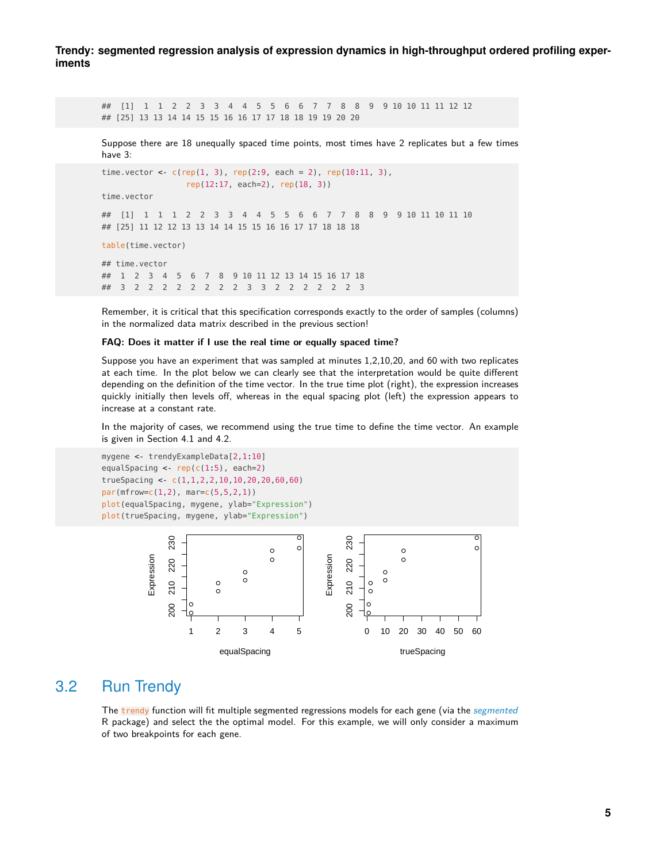## [1] 1 1 2 2 3 3 4 4 5 5 6 6 7 7 8 8 9 9 10 10 11 11 12 12 ## [25] 13 13 14 14 15 15 16 16 17 17 18 18 19 19 20 20

Suppose there are 18 unequally spaced time points, most times have 2 replicates but a few times have 3:

```
time.vector <- c(rep(1, 3), rep(2:9, each = 2), rep(10:11, 3),
                rep(12:17, each=2), rep(18, 3))
time.vector
## [1] 1 1 1 2 2 3 3 4 4 5 5 6 6 7 7 8 8 9 9 10 11 10 11 10
## [25] 11 12 12 13 13 14 14 15 15 16 16 17 17 18 18 18
table(time.vector)
## time.vector
## 1 2 3 4 5 6 7 8 9 10 11 12 13 14 15 16 17 18
## 3 2 2 2 2 2 2 2 2 3 3 2 2 2 2 2 2 3
```
Remember, it is critical that this specification corresponds exactly to the order of samples (columns) in the normalized data matrix described in the previous section!

#### **FAQ: Does it matter if I use the real time or equally spaced time?**

Suppose you have an experiment that was sampled at minutes 1,2,10,20, and 60 with two replicates at each time. In the plot below we can clearly see that the interpretation would be quite different depending on the definition of the time vector. In the true time plot (right), the expression increases quickly initially then levels off, whereas in the equal spacing plot (left) the expression appears to increase at a constant rate.

In the majority of cases, we recommend using the true time to define the time vector. An example is given in Section 4.1 and 4.2.

```
mygene <- trendyExampleData[2,1:10]
equalSpacing <- rep(c(1:5), each=2)
trueSpacing <- c(1,1,2,2,10,10,20,20,60,60)
par(mfrow=c(1,2), mar=c(5,5,2,1))
plot(equalSpacing, mygene, ylab="Expression")
plot(trueSpacing, mygene, ylab="Expression")
```


### 3.2 Run Trendy

<span id="page-4-0"></span>The trendy function will fit multiple [segmented](https://CRAN.R-project.org/package=segmented) regressions models for each gene (via the *segmented* R package) and select the the optimal model. For this example, we will only consider a maximum of two breakpoints for each gene.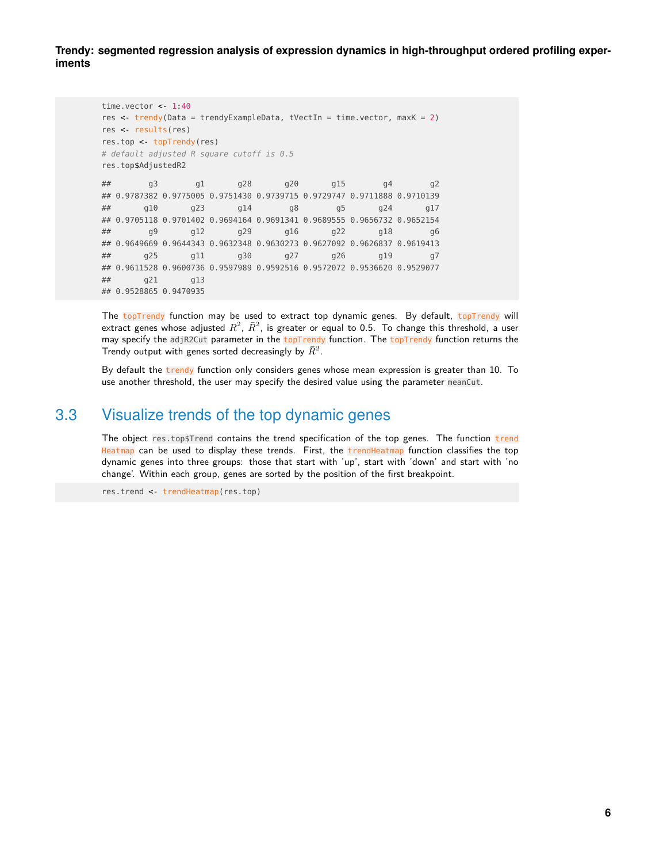```
time.vector \lt 1:40
res <- trendy(Data = trendyExampleData, tVectIn = time.vector, maxK = 2)
res <- results(res)
res.top <- topTrendy(res)
# default adjusted R square cutoff is 0.5
res.top$AdjustedR2
## g3 g1 g28 g20 g15 g4 g2
## 0.9787382 0.9775005 0.9751430 0.9739715 0.9729747 0.9711888 0.9710139
## g10 g23 g14 g8 g5 g24 g17
## 0.9705118 0.9701402 0.9694164 0.9691341 0.9689555 0.9656732 0.9652154
## g9 g12 g29 g16 g22 g18 g6
## 0.9649669 0.9644343 0.9632348 0.9630273 0.9627092 0.9626837 0.9619413
## g25 g11 g30 g27 g26 g19 g7
## 0.9611528 0.9600736 0.9597989 0.9592516 0.9572072 0.9536620 0.9529077
## g21 g13
## 0.9528865 0.9470935
```
The topTrendy function may be used to extract top dynamic genes. By default, topTrendy will extract genes whose adjusted  $R^2, \> \bar{R}^2, \>$  is greater or equal to 0.5. To change this threshold, a user may specify the adjR2Cut parameter in the topTrendy function. The topTrendy function returns the Trendy output with genes sorted decreasingly by  $\bar{R}^2$ .

<span id="page-5-0"></span>By default the trendy function only considers genes whose mean expression is greater than 10. To use another threshold, the user may specify the desired value using the parameter meanCut.

#### 3.3 Visualize trends of the top dynamic genes

The object res.top\$Trend contains the trend specification of the top genes. The function trend Heatmap can be used to display these trends. First, the trendHeatmap function classifies the top dynamic genes into three groups: those that start with 'up', start with 'down' and start with 'no change'. Within each group, genes are sorted by the position of the first breakpoint.

res.trend <- trendHeatmap(res.top)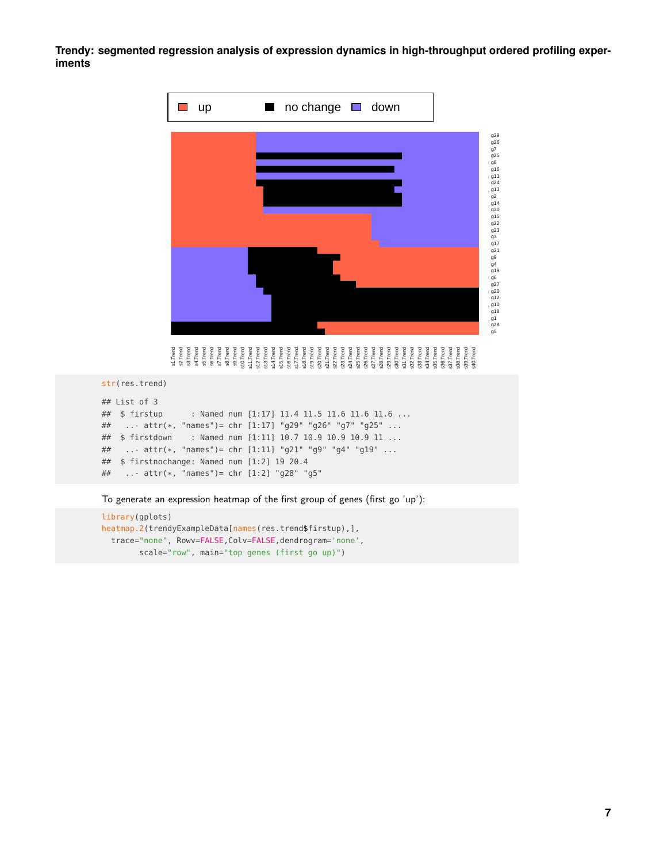

str(res.trend)

```
## List of 3
## $ firstup : Named num [1:17] 11.4 11.5 11.6 11.6 11.6 ...
## ..- attr(*, "names")= chr [1:17] "g29" "g26" "g7" "g25" ...
## $ firstdown : Named num [1:11] 10.7 10.9 10.9 10.9 11 ...
## ..- attr(*, "names")= chr [1:11] "g21" "g9" "g4" "g19" ...
## $ firstnochange: Named num [1:2] 19 20.4
## ..- attr(*, "names")= chr [1:2] "g28" "g5"
```
To generate an expression heatmap of the first group of genes (first go 'up'):

```
library(gplots)
heatmap.2(trendyExampleData[names(res.trend$firstup),],
 trace="none", Rowv=FALSE,Colv=FALSE,dendrogram='none',
        scale="row", main="top genes (first go up)")
```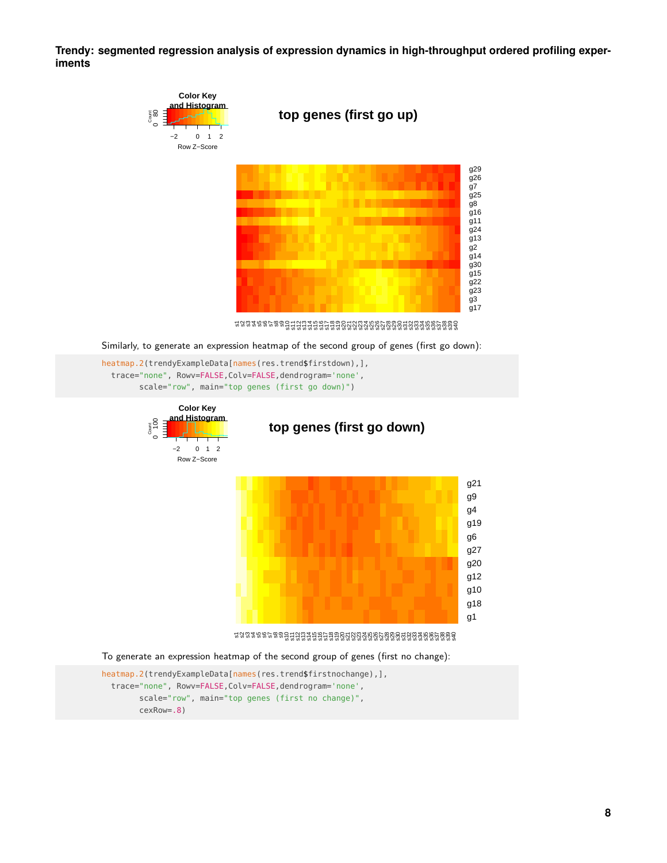

```
trace="none", Rowv=FALSE,Colv=FALSE,dendrogram='none',
     scale="row", main="top genes (first go down)")
```


**top genes (first go down)**



To generate an expression heatmap of the second group of genes (first no change):

```
heatmap.2(trendyExampleData[names(res.trend$firstnochange),],
  trace="none", Rowv=FALSE,Colv=FALSE,dendrogram='none',
        scale="row", main="top genes (first no change)",
        cexRow=.8)
```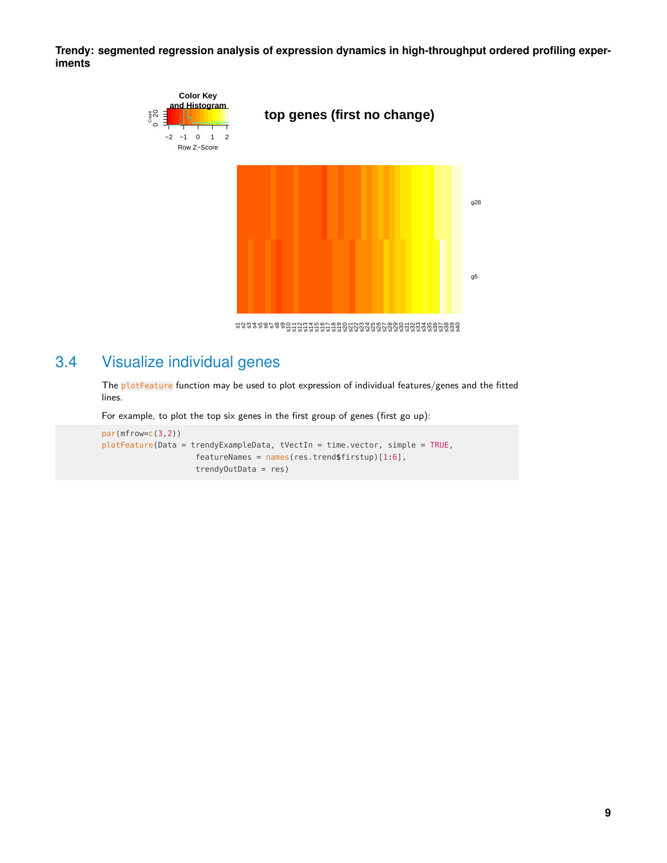

### 3.4 Visualize individual genes

<span id="page-8-0"></span>The plotFeature function may be used to plot expression of individual features/genes and the fitted lines.

For example, to plot the top six genes in the first group of genes (first go up):

```
par(mfrow=c(3,2))
plotFeature(Data = trendyExampleData, tVectIn = time.vector, simple = TRUE,
                    featureNames = names(res.trend$firstup)[1:6],
                    trendyOutData = res)
```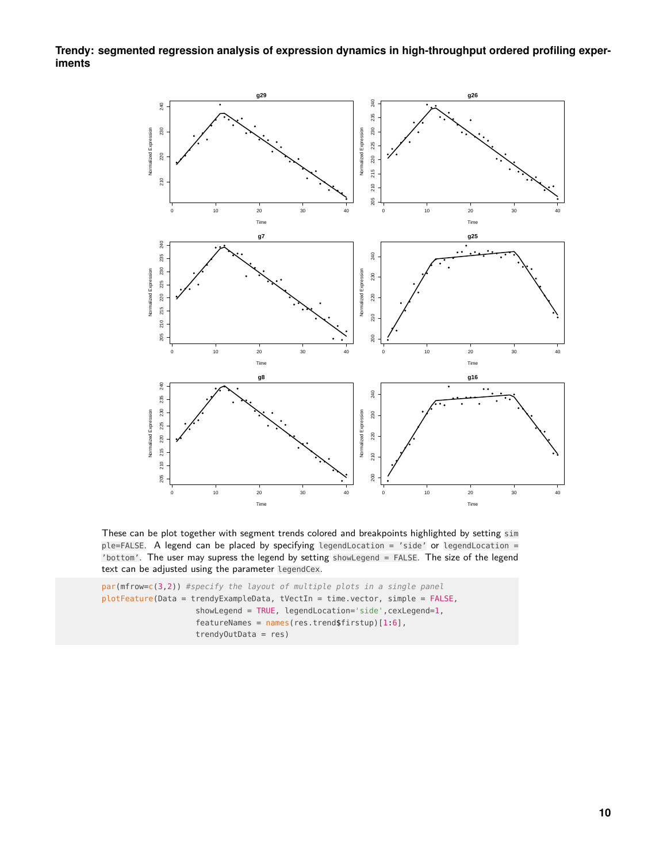**Trendy: segmented regression analysis of expression dynamics in high-throughput ordered profiling experiments**



These can be plot together with segment trends colored and breakpoints highlighted by setting sim ple=FALSE. A legend can be placed by specifying legendLocation = 'side' or legendLocation = 'bottom'. The user may supress the legend by setting showLegend = FALSE. The size of the legend text can be adjusted using the parameter legendCex.

```
par(mfrow=c(3,2)) #specify the layout of multiple plots in a single panel
plotFeature(Data = trendyExampleData, tVectIn = time.vector, simple = FALSE,
                    showLegend = TRUE, legendLocation='side', cexLegend=1,
                    featureNames = names(res.trend$firstup)[1:6],
                    trendyOutData = res)
```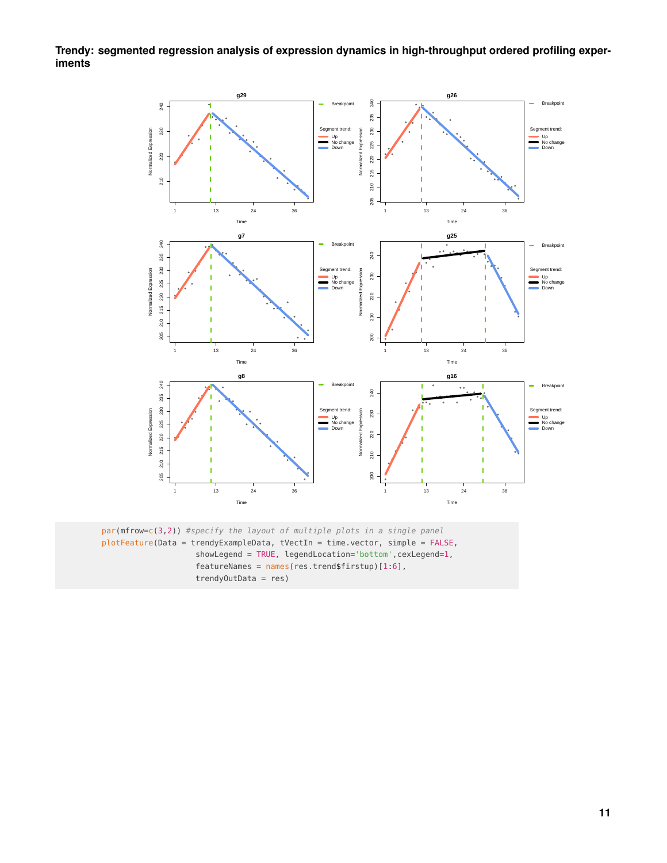**Trendy: segmented regression analysis of expression dynamics in high-throughput ordered profiling experiments**

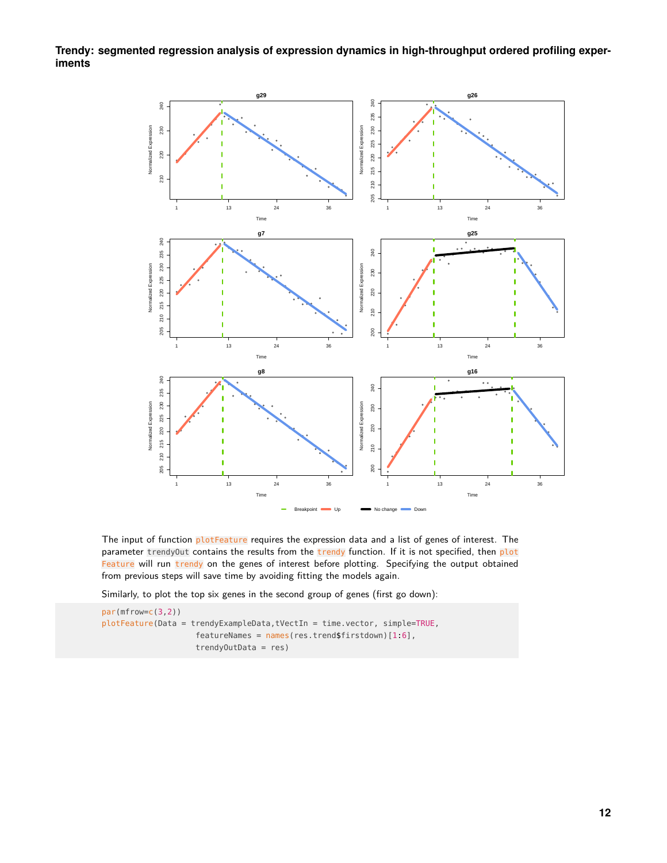**Trendy: segmented regression analysis of expression dynamics in high-throughput ordered profiling experiments**



The input of function plotFeature requires the expression data and a list of genes of interest. The parameter trendyOut contains the results from the trendy function. If it is not specified, then plot Feature will run trendy on the genes of interest before plotting. Specifying the output obtained from previous steps will save time by avoiding fitting the models again.

Similarly, to plot the top six genes in the second group of genes (first go down):

par(mfrow=c(3,2)) plotFeature(Data = trendyExampleData,tVectIn = time.vector, simple=TRUE, featureNames = names(res.trend\$firstdown)[1:6], trendyOutData = res)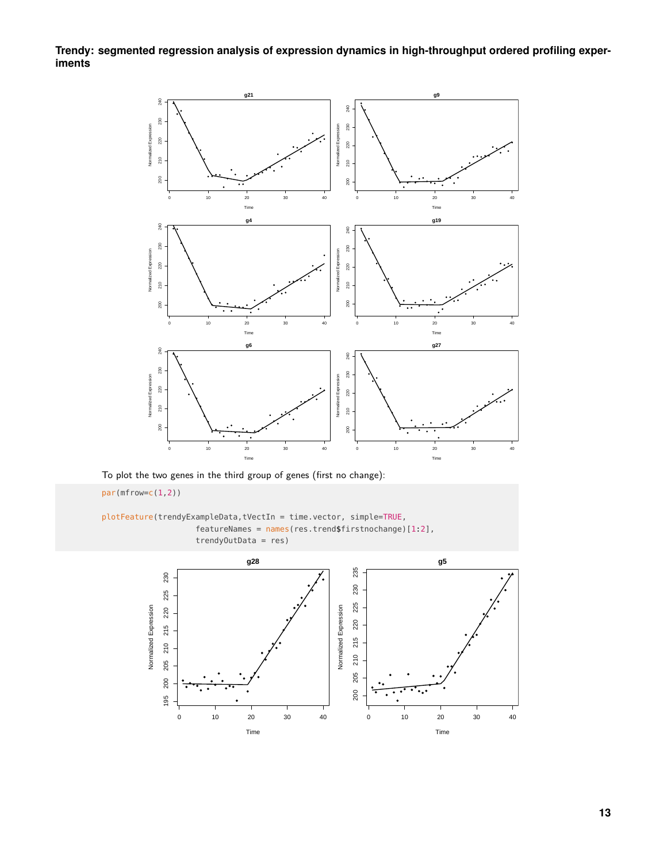**Trendy: segmented regression analysis of expression dynamics in high-throughput ordered profiling experiments**



To plot the two genes in the third group of genes (first no change):

par(mfrow=c(1,2))

plotFeature(trendyExampleData,tVectIn = time.vector, simple=TRUE, featureNames = names(res.trend\$firstnochange)[1:2], trendyOutData = res)

<span id="page-12-0"></span>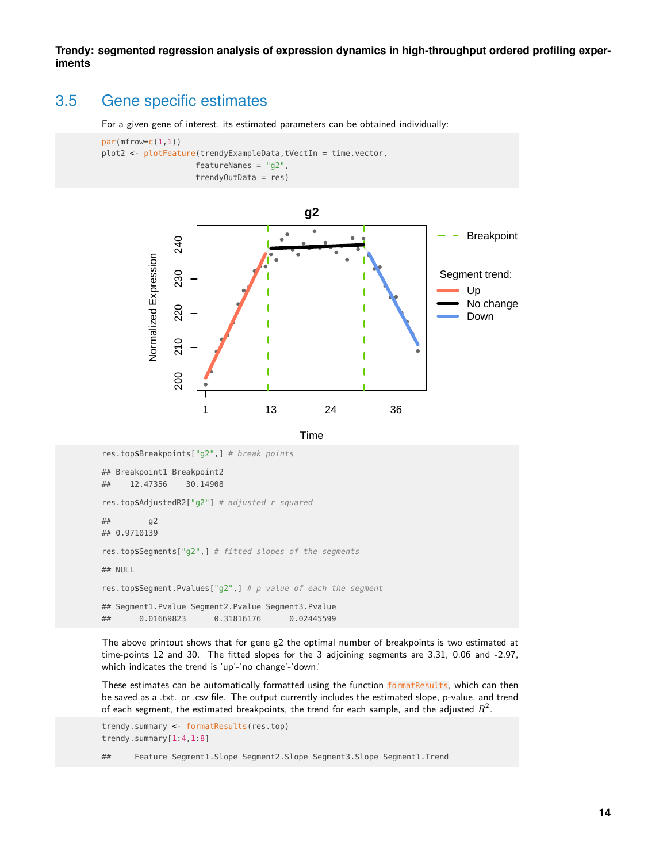### 3.5 Gene specific estimates

For a given gene of interest, its estimated parameters can be obtained individually:

```
par(mfrow=c(1,1))plot2 <- plotFeature(trendyExampleData,tVectIn = time.vector,
                    featureNames = "g2",
                    trendyOutData = res)
```


Time

```
res.top$Breakpoints["g2",] # break points
## Breakpoint1 Breakpoint2
## 12.47356 30.14908
res.top$AdjustedR2["g2"] # adjusted r squared
## g2
## 0.9710139
res.top$Segments["g2",] # fitted slopes of the segments
## NULL
res.top$Segment.Pvalues["g2",] # p value of each the segment
## Segment1.Pvalue Segment2.Pvalue Segment3.Pvalue
## 0.01669823 0.31816176 0.02445599
```
The above printout shows that for gene g2 the optimal number of breakpoints is two estimated at time-points 12 and 30. The fitted slopes for the 3 adjoining segments are 3.31, 0.06 and -2.97, which indicates the trend is 'up'-'no change'-'down.'

These estimates can be automatically formatted using the function formatResults, which can then be saved as a .txt. or .csv file. The output currently includes the estimated slope, p-value, and trend of each segment, the estimated breakpoints, the trend for each sample, and the adjusted  $R^2.$ 

```
trendy.summary <- formatResults(res.top)
trendy.summary[1:4,1:8]
```
## Feature Segment1.Slope Segment2.Slope Segment3.Slope Segment1.Trend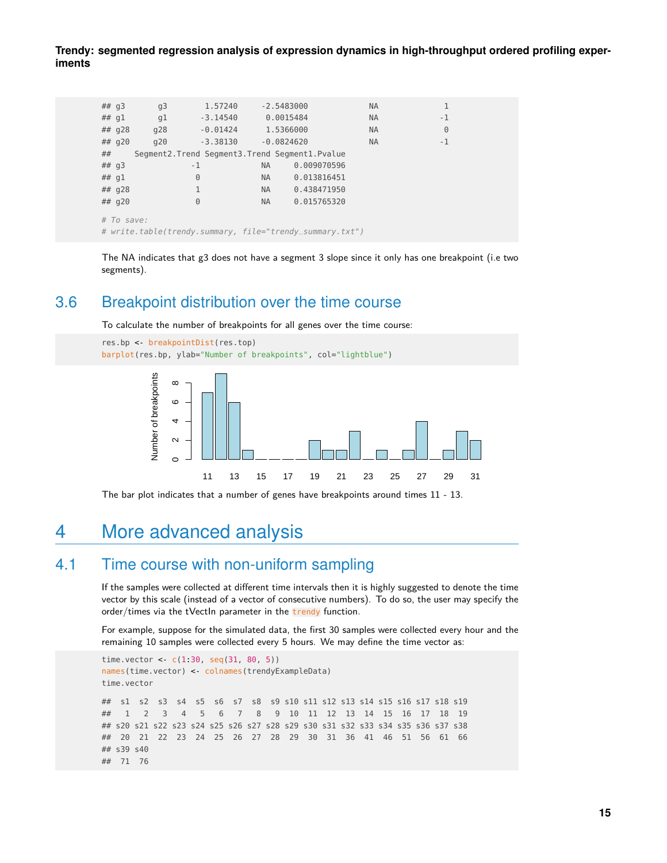| ## q3                                                    |                                                  | q3  | 1.57240    |           | $-2.5483000$ | <b>NA</b> | 1        |
|----------------------------------------------------------|--------------------------------------------------|-----|------------|-----------|--------------|-----------|----------|
| ## $q1$                                                  |                                                  | q1  | $-3.14540$ |           | 0.0015484    | <b>NA</b> | $-1$     |
|                                                          | ## $q28$                                         | g28 | $-0.01424$ |           | 1.5366000    | <b>NA</b> | $\Theta$ |
|                                                          | ## q20                                           | q20 | $-3.38130$ |           | $-0.0824620$ | <b>NA</b> | $-1$     |
| ##                                                       | Segment2. Trend Segment3. Trend Segment1. Pvalue |     |            |           |              |           |          |
| ## q3                                                    |                                                  | - 1 |            | <b>NA</b> | 0.009070596  |           |          |
| ## $q1$                                                  |                                                  |     | 0          | <b>NA</b> | 0.013816451  |           |          |
|                                                          | ## $q28$                                         |     | 1          | <b>NA</b> | 0.438471950  |           |          |
|                                                          | ## $q20$                                         | 0   |            | <b>NA</b> | 0.015765320  |           |          |
| # To save:                                               |                                                  |     |            |           |              |           |          |
| # write.table(trendy.summary, file="trendy_summary.txt") |                                                  |     |            |           |              |           |          |

<span id="page-14-0"></span>The NA indicates that g3 does not have a segment 3 slope since it only has one breakpoint (i.e two segments).

#### 3.6 Breakpoint distribution over the time course

To calculate the number of breakpoints for all genes over the time course:



<span id="page-14-1"></span>The bar plot indicates that a number of genes have breakpoints around times 11 - 13.

### 4 More advanced analysis

#### 4.1 Time course with non-uniform sampling

<span id="page-14-2"></span>If the samples were collected at different time intervals then it is highly suggested to denote the time vector by this scale (instead of a vector of consecutive numbers). To do so, the user may specify the order/times via the tVectIn parameter in the trendy function.

For example, suppose for the simulated data, the first 30 samples were collected every hour and the remaining 10 samples were collected every 5 hours. We may define the time vector as:

```
time.vector < c(1.30, seq(31, 80, 5))names(time.vector) <- colnames(trendyExampleData)
time.vector
## s1 s2 s3 s4 s5 s6 s7 s8 s9 s10 s11 s12 s13 s14 s15 s16 s17 s18 s19
## 1 2 3 4 5 6 7 8 9 10 11 12 13 14 15 16 17 18 19
## s20 s21 s22 s23 s24 s25 s26 s27 s28 s29 s30 s31 s32 s33 s34 s35 s36 s37 s38
## 20 21 22 23 24 25 26 27 28 29 30 31 36 41 46 51 56 61 66
## s39 s40
## 71 76
```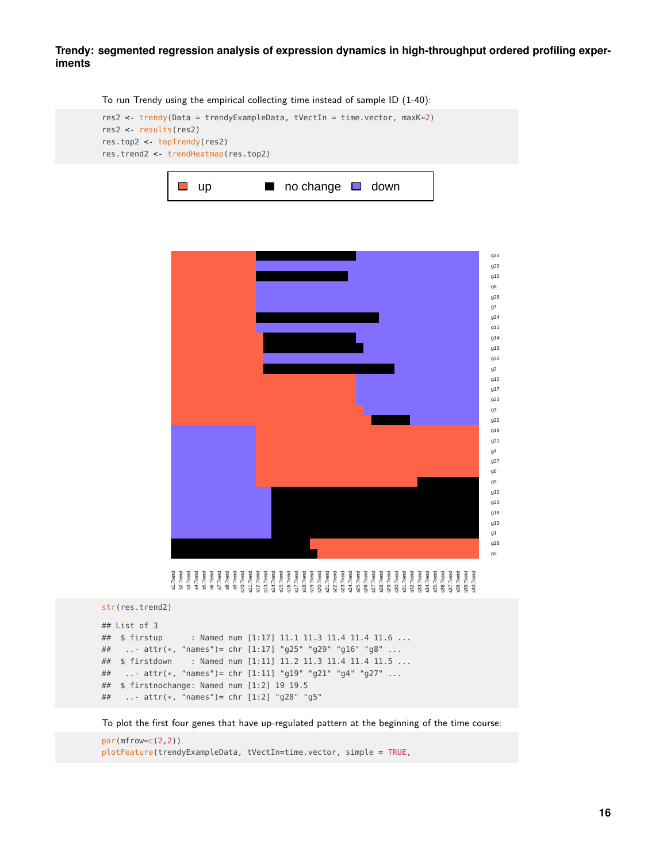To run Trendy using the empirical collecting time instead of sample ID (1-40):







```
## List of 3
## $ firstup : Named num [1:17] 11.1 11.3 11.4 11.4 11.6 ...
## ..- attr(*, "names")= chr [1:17] "g25" "g29" "g16" "g8" ...
## $ firstdown : Named num [1:11] 11.2 11.3 11.4 11.4 11.5 ...
## ..- attr(*, "names")= chr [1:11] "g19" "g21" "g4" "g27" ...
## $ firstnochange: Named num [1:2] 19 19.5
## ..- attr(*, "names")= chr [1:2] "g28" "g5"
```
To plot the first four genes that have up-regulated pattern at the beginning of the time course:

par(mfrow=c(2,2)) plotFeature(trendyExampleData, tVectIn=time.vector, simple = TRUE,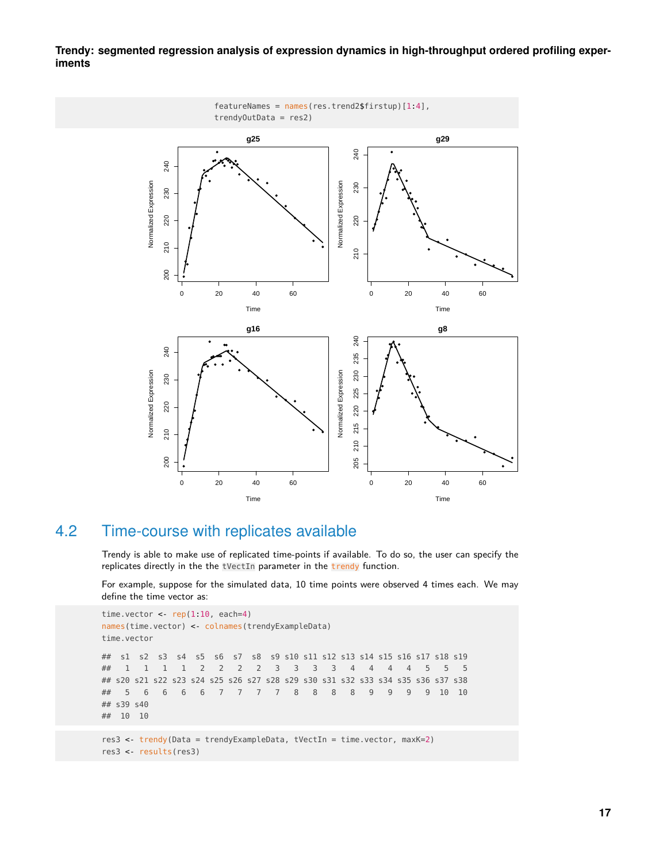

**Trendy: segmented regression analysis of expression dynamics in high-throughput ordered profiling experiments**

#### 4.2 Time-course with replicates available

<span id="page-16-0"></span>Trendy is able to make use of replicated time-points if available. To do so, the user can specify the replicates directly in the the tVectIn parameter in the trendy function.

For example, suppose for the simulated data, 10 time points were observed 4 times each. We may define the time vector as:

```
time.vector <- rep(1:10, each=4)names(time.vector) <- colnames(trendyExampleData)
time.vector
## s1 s2 s3 s4 s5 s6 s7 s8 s9 s10 s11 s12 s13 s14 s15 s16 s17 s18 s19
## 1 1 1 1 2 2 2 2 3 3 3 3 4 4 4 4 5 5 5
## s20 s21 s22 s23 s24 s25 s26 s27 s28 s29 s30 s31 s32 s33 s34 s35 s36 s37 s38
## 5 6 6 6 6 7 7 7 7 8 8 8 8 9 9 9 9 10 10
## s39 s40
## 10 10
```
res3 <- trendy(Data = trendyExampleData, tVectIn = time.vector, maxK=2) res3 <- results(res3)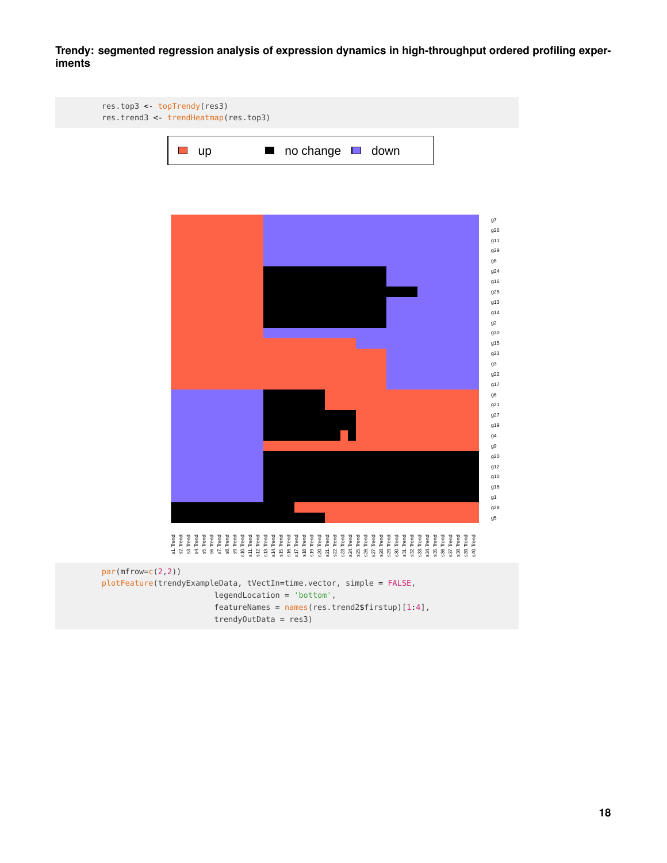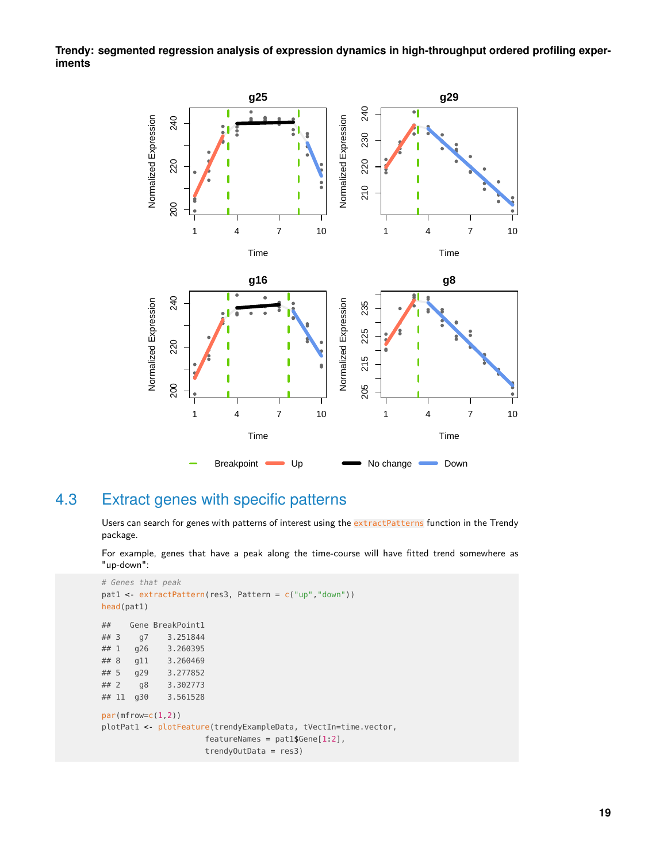**Trendy: segmented regression analysis of expression dynamics in high-throughput ordered profiling experiments**



### 4.3 Extract genes with specific patterns

<span id="page-18-0"></span>Users can search for genes with patterns of interest using the extractPatterns function in the Trendy package.

For example, genes that have a peak along the time-course will have fitted trend somewhere as "up-down":

```
# Genes that peak
pat1 <- extractPattern(res3, Pattern = c("up","down"))
head(pat1)
## Gene BreakPoint1
## 3 g7 3.251844
## 1 g26 3.260395
## 8 g11 3.260469
## 5 g29 3.277852
## 2 g8 3.302773
## 11 g30 3.561528
par(mfrow=c(1,2))
plotPat1 <- plotFeature(trendyExampleData, tVectIn=time.vector,
                    featureNames = pat1$Gene[1:2],trendyOutData = res3)
```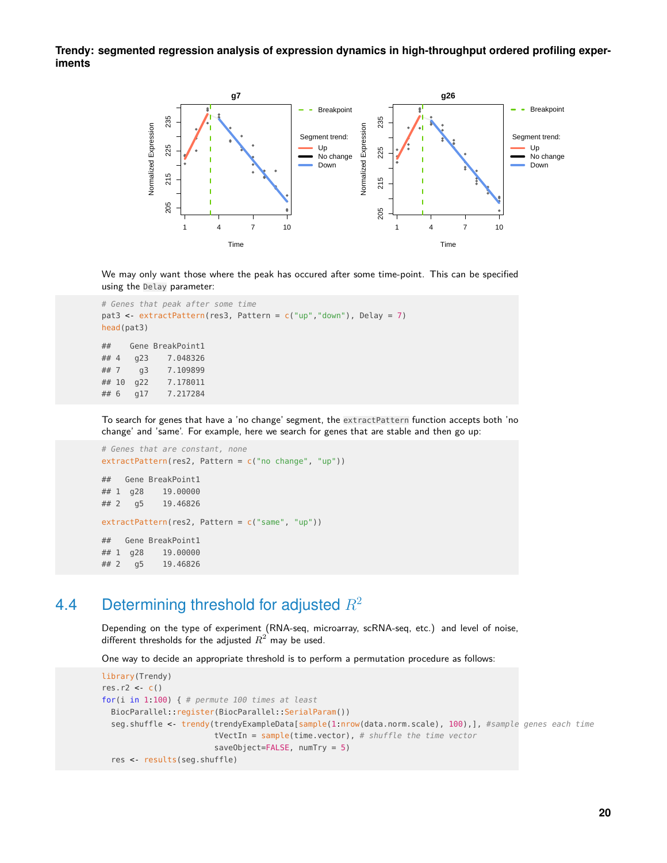

We may only want those where the peak has occured after some time-point. This can be specified using the Delay parameter:

```
# Genes that peak after some time
pat3 <- extractPattern(res3, Pattern = c("up","down"), Delay = 7)
head(pat3)
## Gene BreakPoint1
## 4 g23 7.048326
## 7 g3 7.109899
## 10 g22 7.178011
## 6 g17 7.217284
```
To search for genes that have a 'no change' segment, the extractPattern function accepts both 'no change' and 'same'. For example, here we search for genes that are stable and then go up:

```
# Genes that are constant, none
extractPattern(res2, Pattern = c("no change", "up"))
## Gene BreakPoint1
## 1 g28 19.00000
## 2 g5 19.46826
extractPattern(res2, Pattern = c("same", "up"))
## Gene BreakPoint1
## 1 g28 19.00000
## 2 g5 19.46826
```
### 4.4 Determining threshold for adjusted  $R^2$

<span id="page-19-0"></span>Depending on the type of experiment (RNA-seq, microarray, scRNA-seq, etc.) and level of noise, different thresholds for the adjusted  $R^2$  may be used.

One way to decide an appropriate threshold is to perform a permutation procedure as follows:

```
library(Trendy)
res.r2 <- c()for(i in 1:100) { # permute 100 times at least
 BiocParallel::register(BiocParallel::SerialParam())
  seg.shuffle <- trendy(trendyExampleData[sample(1:nrow(data.norm.scale), 100),], #sample genes each time
                        tVectIn = sample(time.vector), # shuffle the time vector
                        saveObject=FALSE, numTry = 5)
  res <- results(seg.shuffle)
```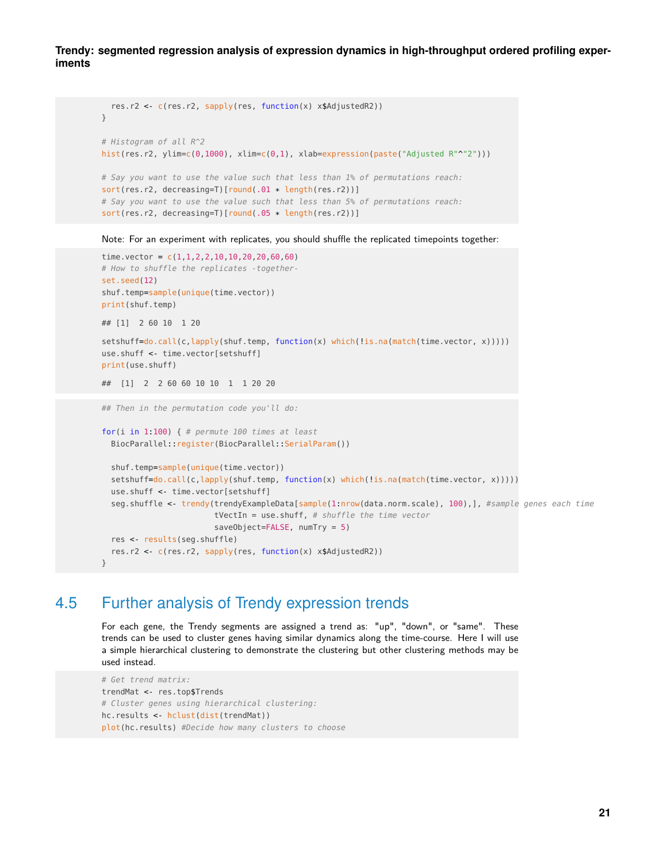```
res.r2 <- c(res.r2, sapply(res, function(x) x$AdjustedR2))
}
# Histogram of all R^2
hist(res.r2, ylim=c(0,1000), xlim=c(0,1), xlab=expression(paste("Adjusted R"^"2")))
# Say you want to use the value such that less than 1% of permutations reach:
sort(res.r2, decreasing=T)[round(.01 * length(res.r2))]
# Say you want to use the value such that less than 5% of permutations reach:
sort(res.r2, decreasing=T)[round(.05 * length(res.r2))]
```
Note: For an experiment with replicates, you should shuffle the replicated timepoints together:

```
time.vector = c(1,1,2,2,10,10,20,20,60,60)
# How to shuffle the replicates -together-
set.seed(12)
shuf.temp=sample(unique(time.vector))
print(shuf.temp)
## [1] 2 60 10 1 20
setshuff=do.call(c,lapply(shuf.temp, function(x) which(!is.na(match(time.vector, x)))))
use.shuff <- time.vector[setshuff]
print(use.shuff)
## [1] 2 2 60 60 10 10 1 1 20 20
## Then in the permutation code you'll do:
for(i in 1:100) { # permute 100 times at least
 BiocParallel::register(BiocParallel::SerialParam())
  shuf.temp=sample(unique(time.vector))
  setshuff=do.call(c,lapply(shuf.temp, function(x) which(!is.na(match(time.vector, x)))))
  use.shuff <- time.vector[setshuff]
 seg.shuffle <- trendy(trendyExampleData[sample(1:nrow(data.norm.scale), 100),], #sample genes each time
                        tVectIn = use.shuff, # shuffle the time vector
                        saveObject=FALSE, numTry = 5)
 res <- results(seg.shuffle)
  res.r2 <- c(res.r2, sapply(res, function(x) x$AdjustedR2))
```
<span id="page-20-0"></span>}

#### 4.5 Further analysis of Trendy expression trends

For each gene, the Trendy segments are assigned a trend as: "up", "down", or "same". These trends can be used to cluster genes having similar dynamics along the time-course. Here I will use a simple hierarchical clustering to demonstrate the clustering but other clustering methods may be used instead.

```
# Get trend matrix:
trendMat <- res.top$Trends
# Cluster genes using hierarchical clustering:
hc.results <- hclust(dist(trendMat))
plot(hc.results) #Decide how many clusters to choose
```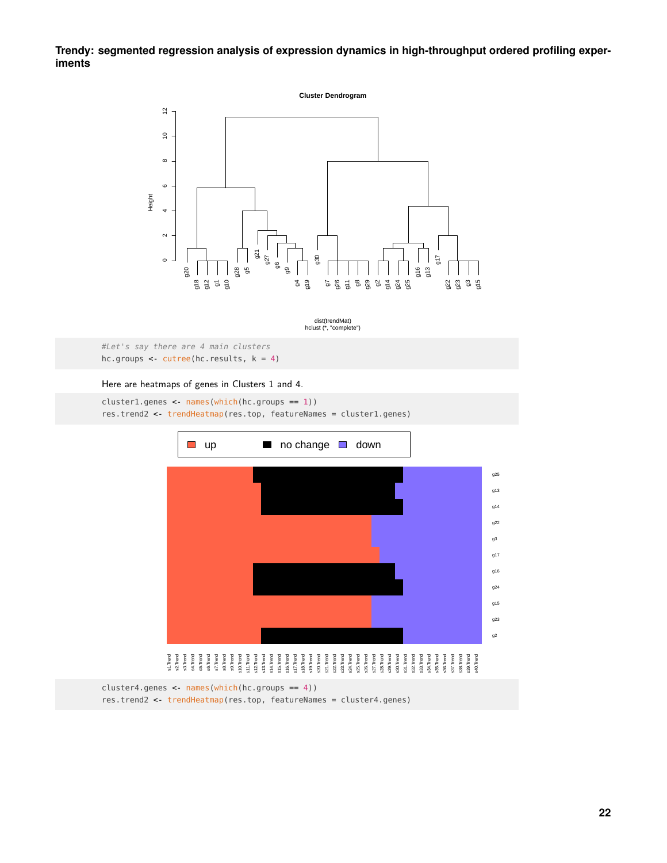

hclust (\*, "complete") dist(trendMat)

```
#Let's say there are 4 main clusters
hc.groups <- cutree(hc. results, k = 4)
```
#### Here are heatmaps of genes in Clusters 1 and 4.

cluster1.genes <- names(which(hc.groups == 1)) res.trend2 <- trendHeatmap(res.top, featureNames = cluster1.genes)



cluster4.genes <- names(which(hc.groups == 4)) res.trend2 <- trendHeatmap(res.top, featureNames = cluster4.genes)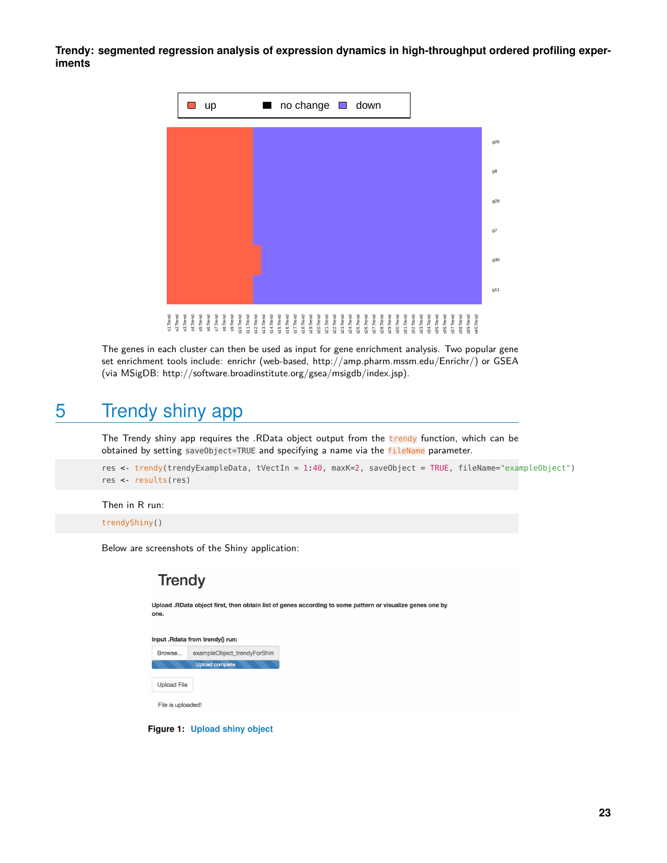

<span id="page-22-0"></span>The genes in each cluster can then be used as input for gene enrichment analysis. Two popular gene set enrichment tools include: enrichr (web-based, http://amp.pharm.mssm.edu/Enrichr/) or GSEA (via MSigDB: http://software.broadinstitute.org/gsea/msigdb/index.jsp).

## 5 Trendy shiny app

The Trendy shiny app requires the .RData object output from the trendy function, which can be obtained by setting saveObject=TRUE and specifying a name via the fileName parameter.

res <- trendy(trendyExampleData, tVectIn = 1:40, maxK=2, saveObject = TRUE, fileName="exampleObject") res <- results(res)

#### Then in R run:

trendyShiny()

Below are screenshots of the Shiny application:

#### **Trendy**

Upload .RData object first, then obtain list of genes according to some pattern or visualize genes one by one.

| Input .Rdata from trendy() run: |                             |  |  |
|---------------------------------|-----------------------------|--|--|
| Browse                          | exampleObject_trendyForShin |  |  |
|                                 | <b>Upload complete</b>      |  |  |
| <b>Upload File</b>              |                             |  |  |
| File is uploaded!               |                             |  |  |

**Figure 1: Upload shiny object**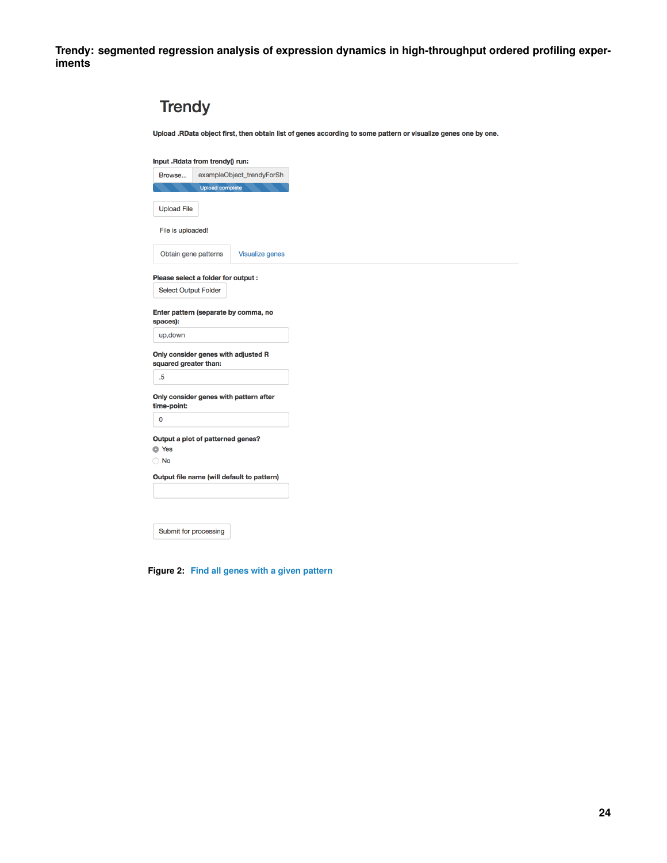| <b>Trendy</b>               |                                            |                                                                                                                |
|-----------------------------|--------------------------------------------|----------------------------------------------------------------------------------------------------------------|
|                             |                                            | Upload .RData object first, then obtain list of genes according to some pattern or visualize genes one by one. |
|                             | Input .Rdata from trendy() run:            |                                                                                                                |
| Browse                      | exampleObject_trendyForSh                  |                                                                                                                |
|                             | <b>Upload complete</b>                     |                                                                                                                |
| <b>Upload File</b>          |                                            |                                                                                                                |
| File is uploaded!           |                                            |                                                                                                                |
| Obtain gene patterns        | <b>Visualize genes</b>                     |                                                                                                                |
|                             | Please select a folder for output:         |                                                                                                                |
| <b>Select Output Folder</b> |                                            |                                                                                                                |
| spaces):                    | Enter pattern (separate by comma, no       |                                                                                                                |
| up,down                     |                                            |                                                                                                                |
| squared greater than:       | Only consider genes with adjusted R        |                                                                                                                |
| .5                          |                                            |                                                                                                                |
| time-point:                 | Only consider genes with pattern after     |                                                                                                                |
| $\mathbf 0$                 |                                            |                                                                                                                |
| <b>O</b> Yes                | Output a plot of patterned genes?          |                                                                                                                |
| $\bigcirc$ No               |                                            |                                                                                                                |
|                             | Output file name (will default to pattern) |                                                                                                                |
|                             |                                            |                                                                                                                |
|                             |                                            |                                                                                                                |
| Submit for processing       |                                            |                                                                                                                |

**Figure 2: Find all genes with a given pattern**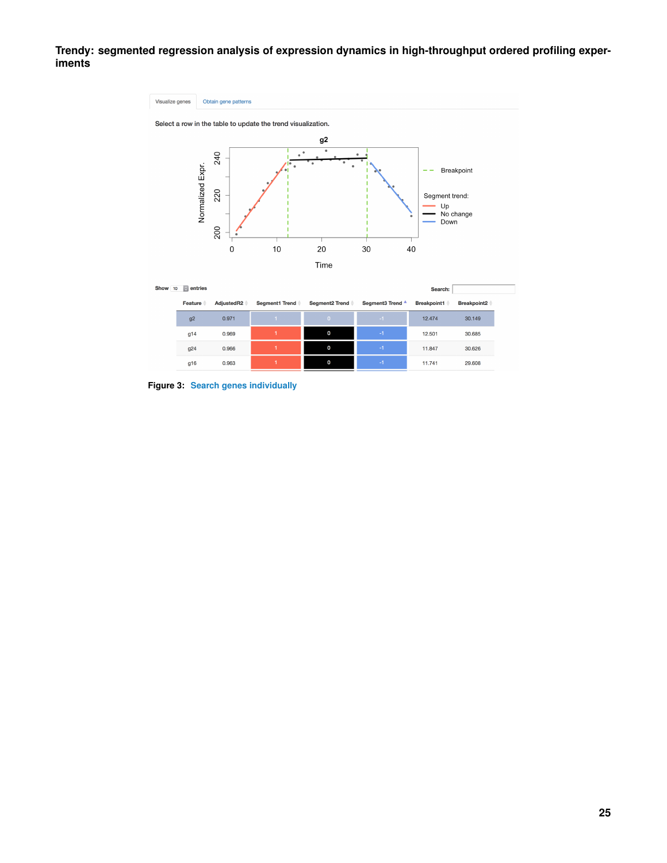

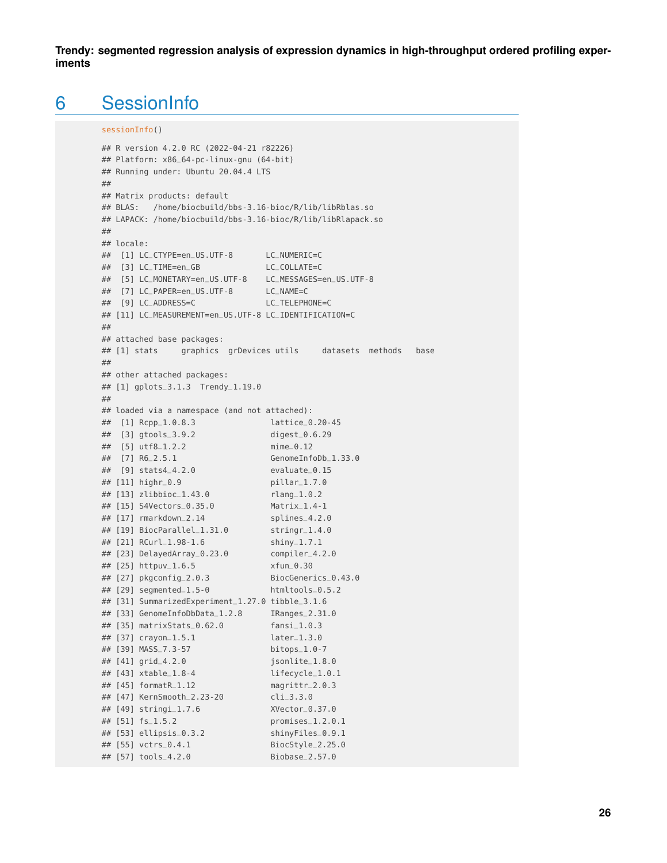### 6 SessionInfo

```
sessionInfo()
```

```
## R version 4.2.0 RC (2022-04-21 r82226)
## Platform: x86_64-pc-linux-gnu (64-bit)
## Running under: Ubuntu 20.04.4 LTS
##
## Matrix products: default
## BLAS: /home/biocbuild/bbs-3.16-bioc/R/lib/libRblas.so
## LAPACK: /home/biocbuild/bbs-3.16-bioc/R/lib/libRlapack.so
##
## locale:
## [1] LC_CTYPE=en_US.UTF-8 LC_NUMERIC=C
## [3] LC_TIME=en_GB LC_COLLATE=C
## [5] LC_MONETARY=en_US.UTF-8 LC_MESSAGES=en_US.UTF-8
## [7] LC_PAPER=en_US.UTF-8 LC_NAME=C
## [9] LC_ADDRESS=C LC_TELEPHONE=C
## [11] LC_MEASUREMENT=en_US.UTF-8 LC_IDENTIFICATION=C
##
## attached base packages:
## [1] stats graphics grDevices utils datasets methods base
##
## other attached packages:
## [1] gplots_3.1.3 Trendy_1.19.0
##
## loaded via a namespace (and not attached):
## [1] Rcpp_1.0.8.3 lattice_0.20-45
## [3] gtools_3.9.2 digest_0.6.29
\frac{4\pi}{4\pi} [5] utf8_1.2.2 mime_0.12<br>\frac{4\pi}{4\pi} [5] utf8_1.2.2
## [7] R6_2.5.1 GenomeInfoDb_1.33.0
## [9] stats4_4.2.0 evaluate_0.1<br>
## [11] highr_0.9 pillar_1.7.0<br>
## [13] zlihbioc 1.43 0
## [11] highr_0.9
## [13] zlibbioc_1.43.0 rlang_1.0.2
## [15] S4Vectors_0.35.0<br>## [17] rmarkdown 2 14
## [17] rmarkdown_2.14 splines_4.2.0
## [19] BiocParallel_1.31.0 stringr_1.4.0
## [21] RCurl_1.98-1.6 shiny_1.7.1
## [23] DelayedArray_0.23.0 compiler_4.2.0
## [25] httpuv_1.6.5 xfun_0.30
## [27] pkgconfig_2.0.3 BiocGenerics_0.43.0
## [29] segmented_1.5-0 htmltools_0.5.2
## [31] SummarizedExperiment_1.27.0 tibble_3.1.6
## [33] GenomeInfoDbData_1.2.8 IRanges_2.31.0
## [35] matrixStats_0.62.0 fansi_1.0.3
## [37] crayon_1.5.1 later_1.3.0
## [39] MASS_7.3-57 bitops_1.0-7
## [41] grid_4.2.0 jsonlite_1.8.0
## [41] grid_4.2.0 <br>
## [43] xtable_1.8-4 lifecycle_1.0.1<br>
## [45] formatR_1.12 magrittr_2.0.3
\# [45] formatR_1.12
## [47] KernSmooth_2.23-20 cli_3.3.0
## [49] stringi_1.7.6 XVector_0.37.0
## [51] fs_1.5.2 promises_1.2.0.1
## [53] ellipsis_0.3.2 shinyFiles_0.9.1
## [55] vctrs_0.4.1 BiocStyle_2.25.0
## [57] tools_4.2.0 Biobase_2.57.0
```